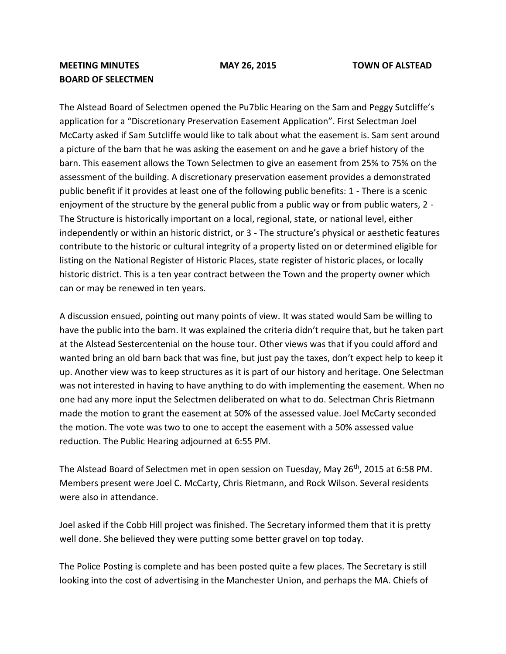## **MEETING MINUTES MAY 26, 2015 TOWN OF ALSTEAD BOARD OF SELECTMEN**

The Alstead Board of Selectmen opened the Pu7blic Hearing on the Sam and Peggy Sutcliffe's application for a "Discretionary Preservation Easement Application". First Selectman Joel McCarty asked if Sam Sutcliffe would like to talk about what the easement is. Sam sent around a picture of the barn that he was asking the easement on and he gave a brief history of the barn. This easement allows the Town Selectmen to give an easement from 25% to 75% on the assessment of the building. A discretionary preservation easement provides a demonstrated public benefit if it provides at least one of the following public benefits: 1 - There is a scenic enjoyment of the structure by the general public from a public way or from public waters, 2 - The Structure is historically important on a local, regional, state, or national level, either independently or within an historic district, or 3 - The structure's physical or aesthetic features contribute to the historic or cultural integrity of a property listed on or determined eligible for listing on the National Register of Historic Places, state register of historic places, or locally historic district. This is a ten year contract between the Town and the property owner which can or may be renewed in ten years.

A discussion ensued, pointing out many points of view. It was stated would Sam be willing to have the public into the barn. It was explained the criteria didn't require that, but he taken part at the Alstead Sestercentenial on the house tour. Other views was that if you could afford and wanted bring an old barn back that was fine, but just pay the taxes, don't expect help to keep it up. Another view was to keep structures as it is part of our history and heritage. One Selectman was not interested in having to have anything to do with implementing the easement. When no one had any more input the Selectmen deliberated on what to do. Selectman Chris Rietmann made the motion to grant the easement at 50% of the assessed value. Joel McCarty seconded the motion. The vote was two to one to accept the easement with a 50% assessed value reduction. The Public Hearing adjourned at 6:55 PM.

The Alstead Board of Selectmen met in open session on Tuesday, May  $26<sup>th</sup>$ , 2015 at 6:58 PM. Members present were Joel C. McCarty, Chris Rietmann, and Rock Wilson. Several residents were also in attendance.

Joel asked if the Cobb Hill project was finished. The Secretary informed them that it is pretty well done. She believed they were putting some better gravel on top today.

The Police Posting is complete and has been posted quite a few places. The Secretary is still looking into the cost of advertising in the Manchester Union, and perhaps the MA. Chiefs of